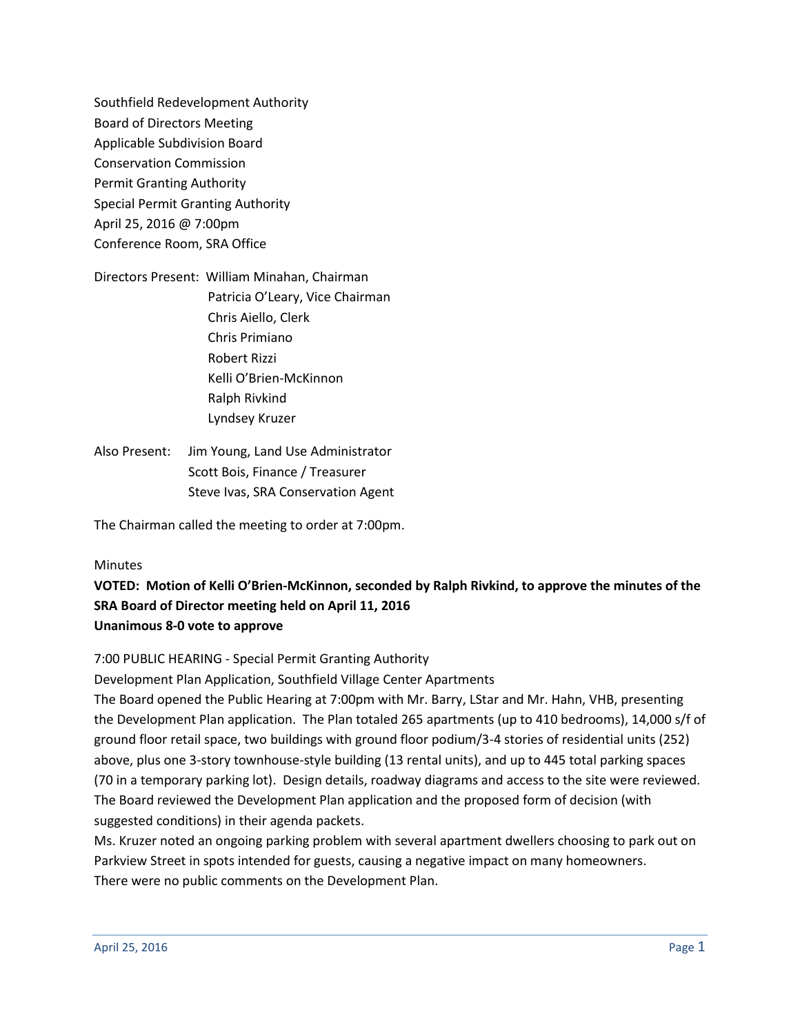Southfield Redevelopment Authority Board of Directors Meeting Applicable Subdivision Board Conservation Commission Permit Granting Authority Special Permit Granting Authority April 25, 2016 @ 7:00pm Conference Room, SRA Office

Directors Present: William Minahan, Chairman Patricia O'Leary, Vice Chairman Chris Aiello, Clerk Chris Primiano Robert Rizzi Kelli O'Brien-McKinnon Ralph Rivkind Lyndsey Kruzer

Also Present: Jim Young, Land Use Administrator Scott Bois, Finance / Treasurer Steve Ivas, SRA Conservation Agent

The Chairman called the meeting to order at 7:00pm.

#### Minutes

**VOTED: Motion of Kelli O'Brien-McKinnon, seconded by Ralph Rivkind, to approve the minutes of the SRA Board of Director meeting held on April 11, 2016 Unanimous 8-0 vote to approve** 

7:00 PUBLIC HEARING - Special Permit Granting Authority

Development Plan Application, Southfield Village Center Apartments

The Board opened the Public Hearing at 7:00pm with Mr. Barry, LStar and Mr. Hahn, VHB, presenting the Development Plan application. The Plan totaled 265 apartments (up to 410 bedrooms), 14,000 s/f of ground floor retail space, two buildings with ground floor podium/3-4 stories of residential units (252) above, plus one 3-story townhouse-style building (13 rental units), and up to 445 total parking spaces (70 in a temporary parking lot). Design details, roadway diagrams and access to the site were reviewed. The Board reviewed the Development Plan application and the proposed form of decision (with suggested conditions) in their agenda packets.

Ms. Kruzer noted an ongoing parking problem with several apartment dwellers choosing to park out on Parkview Street in spots intended for guests, causing a negative impact on many homeowners. There were no public comments on the Development Plan.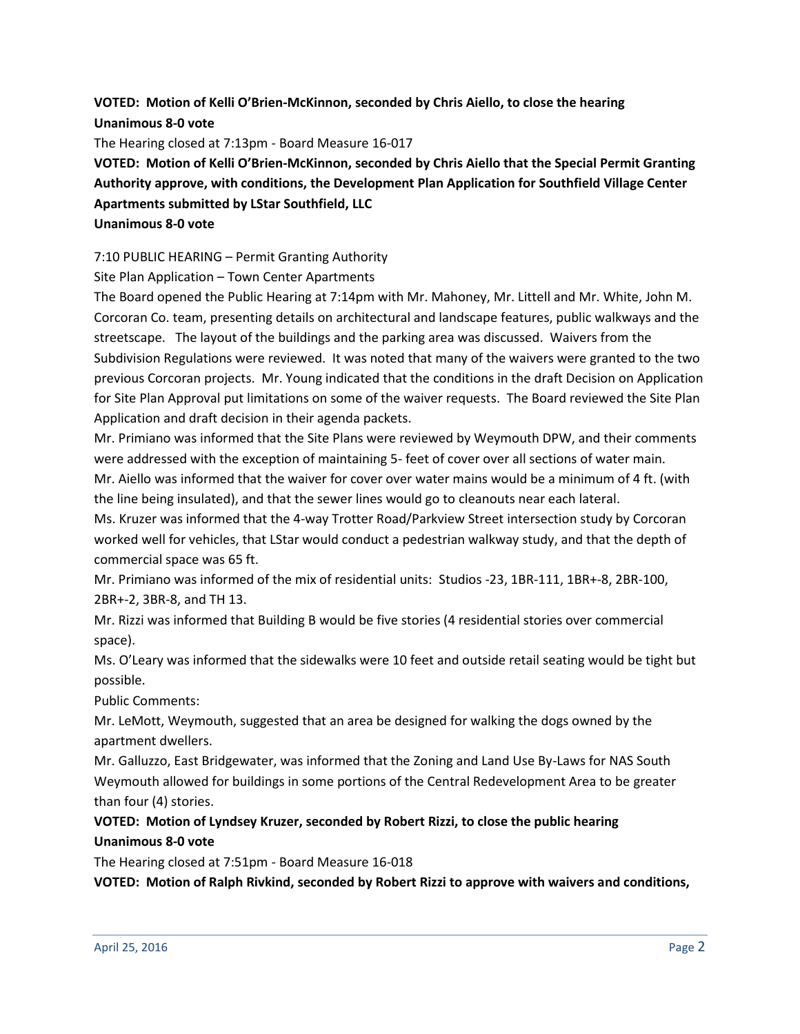## **VOTED: Motion of Kelli O'Brien-McKinnon, seconded by Chris Aiello, to close the hearing Unanimous 8-0 vote**

The Hearing closed at 7:13pm - Board Measure 16-017

# **VOTED: Motion of Kelli O'Brien-McKinnon, seconded by Chris Aiello that the Special Permit Granting Authority approve, with conditions, the Development Plan Application for Southfield Village Center Apartments submitted by LStar Southfield, LLC Unanimous 8-0 vote**

#### 7:10 PUBLIC HEARING – Permit Granting Authority

Site Plan Application – Town Center Apartments

The Board opened the Public Hearing at 7:14pm with Mr. Mahoney, Mr. Littell and Mr. White, John M. Corcoran Co. team, presenting details on architectural and landscape features, public walkways and the streetscape. The layout of the buildings and the parking area was discussed. Waivers from the Subdivision Regulations were reviewed. It was noted that many of the waivers were granted to the two previous Corcoran projects. Mr. Young indicated that the conditions in the draft Decision on Application for Site Plan Approval put limitations on some of the waiver requests. The Board reviewed the Site Plan Application and draft decision in their agenda packets.

Mr. Primiano was informed that the Site Plans were reviewed by Weymouth DPW, and their comments were addressed with the exception of maintaining 5- feet of cover over all sections of water main.

Mr. Aiello was informed that the waiver for cover over water mains would be a minimum of 4 ft. (with the line being insulated), and that the sewer lines would go to cleanouts near each lateral.

Ms. Kruzer was informed that the 4-way Trotter Road/Parkview Street intersection study by Corcoran worked well for vehicles, that LStar would conduct a pedestrian walkway study, and that the depth of commercial space was 65 ft.

Mr. Primiano was informed of the mix of residential units: Studios -23, 1BR-111, 1BR+-8, 2BR-100, 2BR+-2, 3BR-8, and TH 13.

Mr. Rizzi was informed that Building B would be five stories (4 residential stories over commercial space).

Ms. O'Leary was informed that the sidewalks were 10 feet and outside retail seating would be tight but possible.

Public Comments:

Mr. LeMott, Weymouth, suggested that an area be designed for walking the dogs owned by the apartment dwellers.

Mr. Galluzzo, East Bridgewater, was informed that the Zoning and Land Use By-Laws for NAS South Weymouth allowed for buildings in some portions of the Central Redevelopment Area to be greater than four (4) stories.

# **VOTED: Motion of Lyndsey Kruzer, seconded by Robert Rizzi, to close the public hearing Unanimous 8-0 vote**

The Hearing closed at 7:51pm - Board Measure 16-018

**VOTED: Motion of Ralph Rivkind, seconded by Robert Rizzi to approve with waivers and conditions,**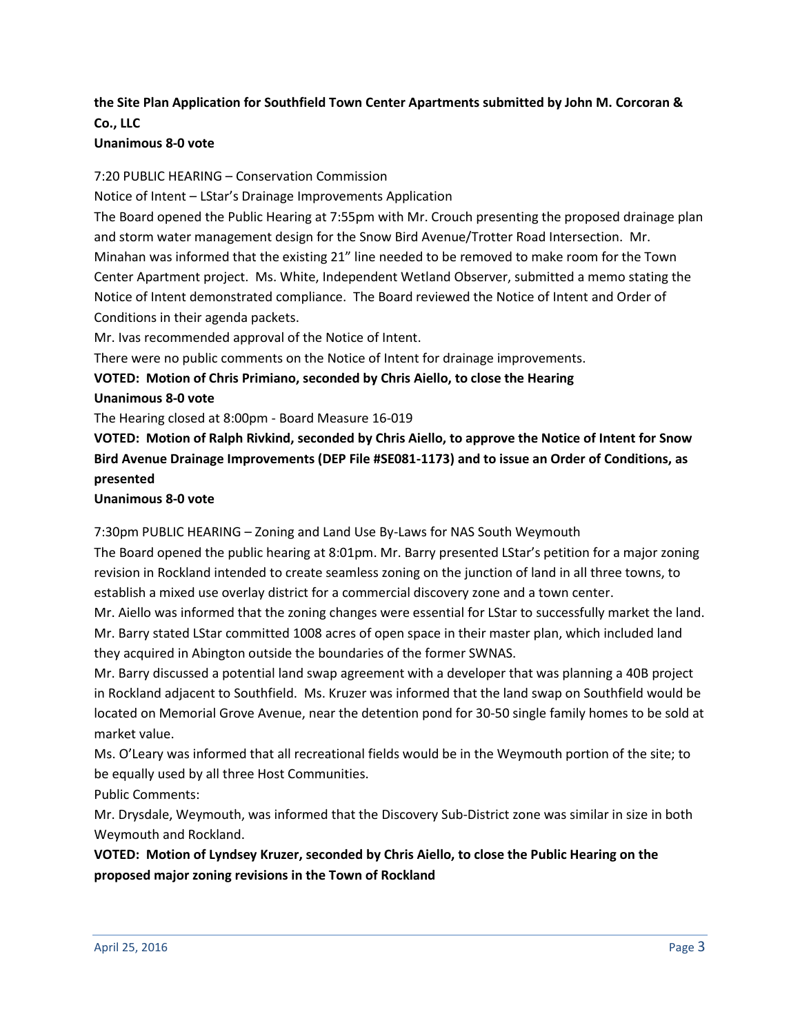# **the Site Plan Application for Southfield Town Center Apartments submitted by John M. Corcoran & Co., LLC**

#### **Unanimous 8-0 vote**

7:20 PUBLIC HEARING – Conservation Commission

Notice of Intent – LStar's Drainage Improvements Application

The Board opened the Public Hearing at 7:55pm with Mr. Crouch presenting the proposed drainage plan and storm water management design for the Snow Bird Avenue/Trotter Road Intersection. Mr. Minahan was informed that the existing 21" line needed to be removed to make room for the Town Center Apartment project. Ms. White, Independent Wetland Observer, submitted a memo stating the Notice of Intent demonstrated compliance. The Board reviewed the Notice of Intent and Order of Conditions in their agenda packets.

Mr. Ivas recommended approval of the Notice of Intent.

There were no public comments on the Notice of Intent for drainage improvements.

**VOTED: Motion of Chris Primiano, seconded by Chris Aiello, to close the Hearing**

**Unanimous 8-0 vote**

The Hearing closed at 8:00pm - Board Measure 16-019

**VOTED: Motion of Ralph Rivkind, seconded by Chris Aiello, to approve the Notice of Intent for Snow Bird Avenue Drainage Improvements (DEP File #SE081-1173) and to issue an Order of Conditions, as presented**

#### **Unanimous 8-0 vote**

7:30pm PUBLIC HEARING – Zoning and Land Use By-Laws for NAS South Weymouth

The Board opened the public hearing at 8:01pm. Mr. Barry presented LStar's petition for a major zoning revision in Rockland intended to create seamless zoning on the junction of land in all three towns, to establish a mixed use overlay district for a commercial discovery zone and a town center.

Mr. Aiello was informed that the zoning changes were essential for LStar to successfully market the land. Mr. Barry stated LStar committed 1008 acres of open space in their master plan, which included land they acquired in Abington outside the boundaries of the former SWNAS.

Mr. Barry discussed a potential land swap agreement with a developer that was planning a 40B project in Rockland adjacent to Southfield. Ms. Kruzer was informed that the land swap on Southfield would be located on Memorial Grove Avenue, near the detention pond for 30-50 single family homes to be sold at market value.

Ms. O'Leary was informed that all recreational fields would be in the Weymouth portion of the site; to be equally used by all three Host Communities.

Public Comments:

Mr. Drysdale, Weymouth, was informed that the Discovery Sub-District zone was similar in size in both Weymouth and Rockland.

**VOTED: Motion of Lyndsey Kruzer, seconded by Chris Aiello, to close the Public Hearing on the proposed major zoning revisions in the Town of Rockland**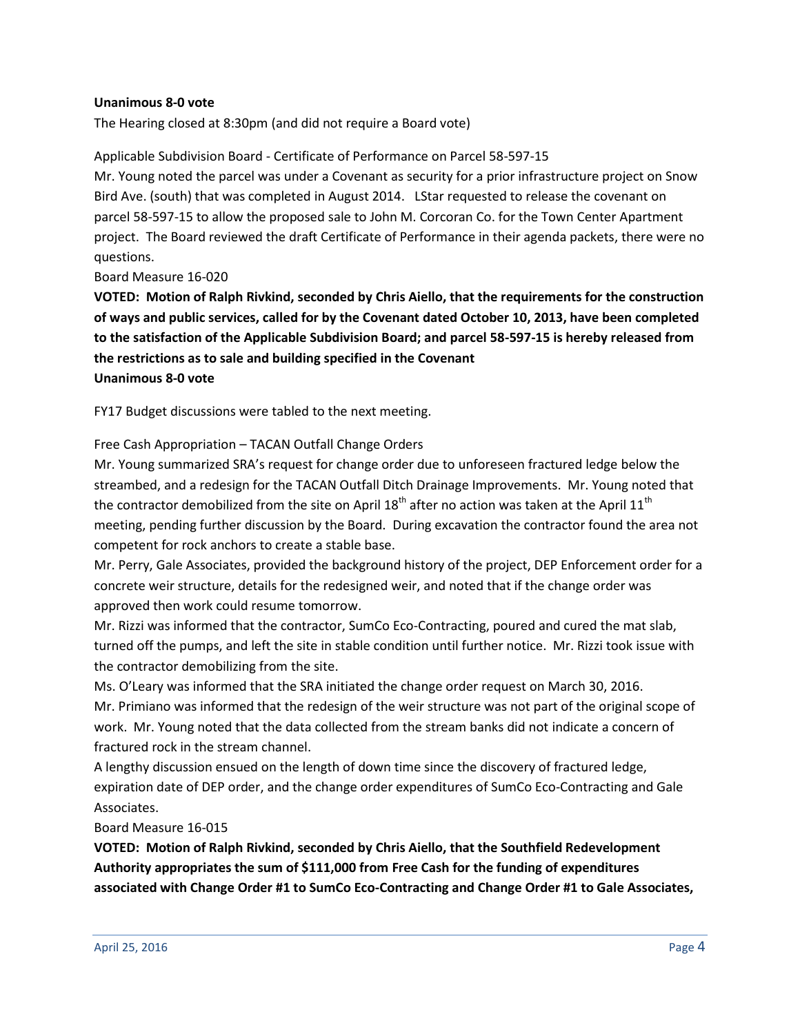#### **Unanimous 8-0 vote**

The Hearing closed at 8:30pm (and did not require a Board vote)

#### Applicable Subdivision Board - Certificate of Performance on Parcel 58-597-15

Mr. Young noted the parcel was under a Covenant as security for a prior infrastructure project on Snow Bird Ave. (south) that was completed in August 2014. LStar requested to release the covenant on parcel 58-597-15 to allow the proposed sale to John M. Corcoran Co. for the Town Center Apartment project. The Board reviewed the draft Certificate of Performance in their agenda packets, there were no questions.

Board Measure 16-020

**VOTED: Motion of Ralph Rivkind, seconded by Chris Aiello, that the requirements for the construction of ways and public services, called for by the Covenant dated October 10, 2013, have been completed to the satisfaction of the Applicable Subdivision Board; and parcel 58-597-15 is hereby released from the restrictions as to sale and building specified in the Covenant Unanimous 8-0 vote**

FY17 Budget discussions were tabled to the next meeting.

#### Free Cash Appropriation – TACAN Outfall Change Orders

Mr. Young summarized SRA's request for change order due to unforeseen fractured ledge below the streambed, and a redesign for the TACAN Outfall Ditch Drainage Improvements. Mr. Young noted that the contractor demobilized from the site on April 18<sup>th</sup> after no action was taken at the April 11<sup>th</sup> meeting, pending further discussion by the Board. During excavation the contractor found the area not competent for rock anchors to create a stable base.

Mr. Perry, Gale Associates, provided the background history of the project, DEP Enforcement order for a concrete weir structure, details for the redesigned weir, and noted that if the change order was approved then work could resume tomorrow.

Mr. Rizzi was informed that the contractor, SumCo Eco-Contracting, poured and cured the mat slab, turned off the pumps, and left the site in stable condition until further notice. Mr. Rizzi took issue with the contractor demobilizing from the site.

Ms. O'Leary was informed that the SRA initiated the change order request on March 30, 2016. Mr. Primiano was informed that the redesign of the weir structure was not part of the original scope of work. Mr. Young noted that the data collected from the stream banks did not indicate a concern of fractured rock in the stream channel.

A lengthy discussion ensued on the length of down time since the discovery of fractured ledge, expiration date of DEP order, and the change order expenditures of SumCo Eco-Contracting and Gale Associates.

#### Board Measure 16-015

**VOTED: Motion of Ralph Rivkind, seconded by Chris Aiello, that the Southfield Redevelopment Authority appropriates the sum of \$111,000 from Free Cash for the funding of expenditures associated with Change Order #1 to SumCo Eco-Contracting and Change Order #1 to Gale Associates,**